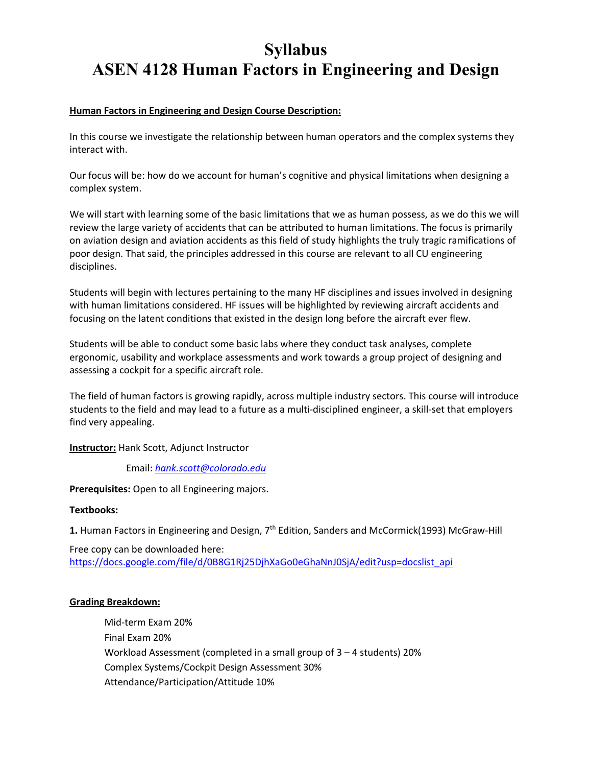# **Syllabus ASEN 4128 Human Factors in Engineering and Design**

# **Human Factors in Engineering and Design Course Description:**

In this course we investigate the relationship between human operators and the complex systems they interact with.

Our focus will be: how do we account for human's cognitive and physical limitations when designing a complex system.

We will start with learning some of the basic limitations that we as human possess, as we do this we will review the large variety of accidents that can be attributed to human limitations. The focus is primarily on aviation design and aviation accidents as this field of study highlights the truly tragic ramifications of poor design. That said, the principles addressed in this course are relevant to all CU engineering disciplines.

Students will begin with lectures pertaining to the many HF disciplines and issues involved in designing with human limitations considered. HF issues will be highlighted by reviewing aircraft accidents and focusing on the latent conditions that existed in the design long before the aircraft ever flew.

Students will be able to conduct some basic labs where they conduct task analyses, complete ergonomic, usability and workplace assessments and work towards a group project of designing and assessing a cockpit for a specific aircraft role.

The field of human factors is growing rapidly, across multiple industry sectors. This course will introduce students to the field and may lead to a future as a multi-disciplined engineer, a skill-set that employers find very appealing.

#### **Instructor:** Hank Scott, Adjunct Instructor

Email: *hank.scott@colorado.edu*

**Prerequisites:** Open to all Engineering majors.

#### **Textbooks:**

1. Human Factors in Engineering and Design, 7<sup>th</sup> Edition, Sanders and McCormick(1993) McGraw-Hill

Free copy can be downloaded here: https://docs.google.com/file/d/0B8G1Rj25DjhXaGo0eGhaNnJ0SjA/edit?usp=docslist\_api

#### **Grading Breakdown:**

Mid-term Exam 20% Final Exam 20% Workload Assessment (completed in a small group of 3 – 4 students) 20% Complex Systems/Cockpit Design Assessment 30% Attendance/Participation/Attitude 10%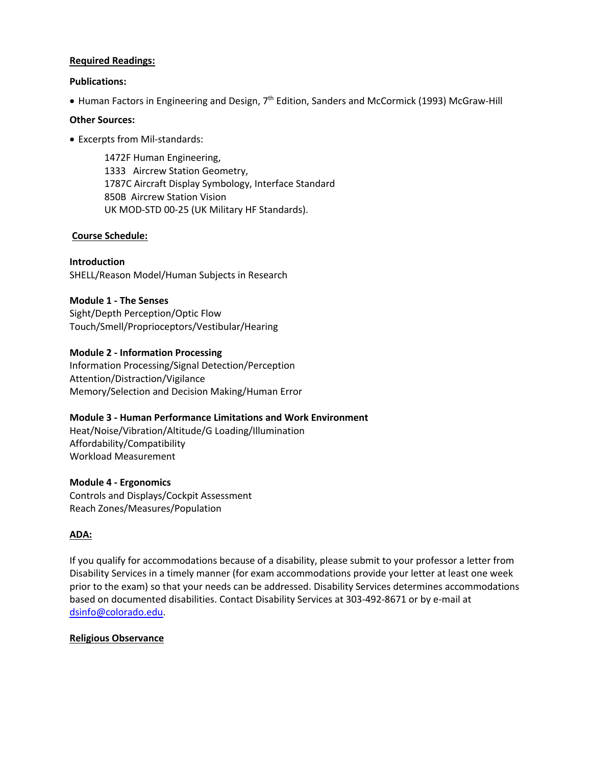#### **Required Readings:**

#### **Publications:**

• Human Factors in Engineering and Design, 7<sup>th</sup> Edition, Sanders and McCormick (1993) McGraw-Hill

#### **Other Sources:**

• Excerpts from Mil-standards:

1472F Human Engineering, 1333 Aircrew Station Geometry, 1787C Aircraft Display Symbology, Interface Standard 850B Aircrew Station Vision UK MOD-STD 00-25 (UK Military HF Standards).

#### **Course Schedule:**

**Introduction**  SHELL/Reason Model/Human Subjects in Research

# **Module 1 - The Senses**

Sight/Depth Perception/Optic Flow Touch/Smell/Proprioceptors/Vestibular/Hearing

# **Module 2 - Information Processing**

Information Processing/Signal Detection/Perception Attention/Distraction/Vigilance Memory/Selection and Decision Making/Human Error

#### **Module 3 - Human Performance Limitations and Work Environment**

Heat/Noise/Vibration/Altitude/G Loading/Illumination Affordability/Compatibility Workload Measurement

#### **Module 4 - Ergonomics**

Controls and Displays/Cockpit Assessment Reach Zones/Measures/Population

#### **ADA:**

If you qualify for accommodations because of a disability, please submit to your professor a letter from Disability Services in a timely manner (for exam accommodations provide your letter at least one week prior to the exam) so that your needs can be addressed. Disability Services determines accommodations based on documented disabilities. Contact Disability Services at 303-492-8671 or by e-mail at dsinfo@colorado.edu.

#### **Religious Observance**